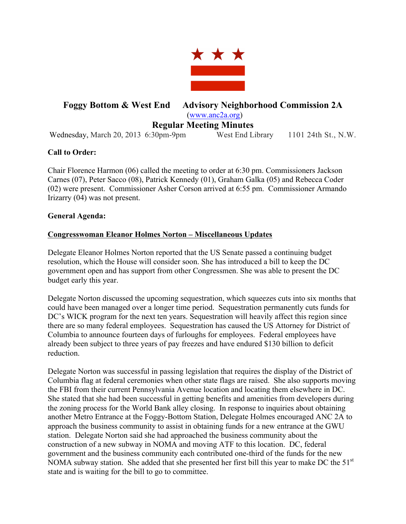

# **Foggy Bottom & West End Advisory Neighborhood Commission 2A** (www.anc2a.org) **Regular Meeting Minutes**

Wednesday, March 20, 2013 6:30pm-9pm West End Library 1101 24th St., N.W.

# **Call to Order:**

Chair Florence Harmon (06) called the meeting to order at 6:30 pm. Commissioners Jackson Carnes (07), Peter Sacco (08), Patrick Kennedy (01), Graham Galka (05) and Rebecca Coder (02) were present. Commissioner Asher Corson arrived at 6:55 pm. Commissioner Armando Irizarry (04) was not present.

# **General Agenda:**

# **Congresswoman Eleanor Holmes Norton – Miscellaneous Updates**

Delegate Eleanor Holmes Norton reported that the US Senate passed a continuing budget resolution, which the House will consider soon. She has introduced a bill to keep the DC government open and has support from other Congressmen. She was able to present the DC budget early this year.

Delegate Norton discussed the upcoming sequestration, which squeezes cuts into six months that could have been managed over a longer time period. Sequestration permanently cuts funds for DC's WICK program for the next ten years. Sequestration will heavily affect this region since there are so many federal employees. Sequestration has caused the US Attorney for District of Columbia to announce fourteen days of furloughs for employees. Federal employees have already been subject to three years of pay freezes and have endured \$130 billion to deficit reduction.

Delegate Norton was successful in passing legislation that requires the display of the District of Columbia flag at federal ceremonies when other state flags are raised. She also supports moving the FBI from their current Pennsylvania Avenue location and locating them elsewhere in DC. She stated that she had been successful in getting benefits and amenities from developers during the zoning process for the World Bank alley closing. In response to inquiries about obtaining another Metro Entrance at the Foggy-Bottom Station, Delegate Holmes encouraged ANC 2A to approach the business community to assist in obtaining funds for a new entrance at the GWU station. Delegate Norton said she had approached the business community about the construction of a new subway in NOMA and moving ATF to this location. DC, federal government and the business community each contributed one-third of the funds for the new NOMA subway station. She added that she presented her first bill this year to make DC the  $51<sup>st</sup>$ state and is waiting for the bill to go to committee.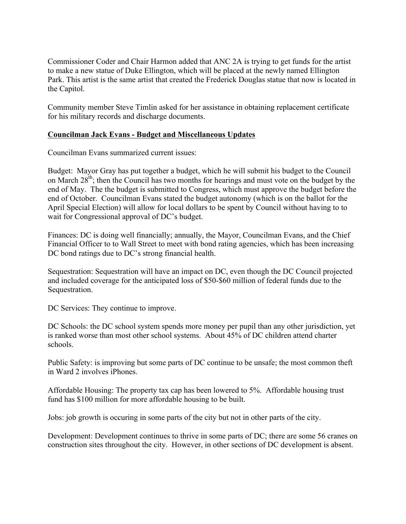Commissioner Coder and Chair Harmon added that ANC 2A is trying to get funds for the artist to make a new statue of Duke Ellington, which will be placed at the newly named Ellington Park. This artist is the same artist that created the Frederick Douglas statue that now is located in the Capitol.

Community member Steve Timlin asked for her assistance in obtaining replacement certificate for his military records and discharge documents.

# **Councilman Jack Evans - Budget and Miscellaneous Updates**

Councilman Evans summarized current issues:

Budget: Mayor Gray has put together a budget, which he will submit his budget to the Council on March 28<sup>th</sup>; then the Council has two months for hearings and must vote on the budget by the end of May. The the budget is submitted to Congress, which must approve the budget before the end of October. Councilman Evans stated the budget autonomy (which is on the ballot for the April Special Election) will allow for local dollars to be spent by Council without having to to wait for Congressional approval of DC's budget.

Finances: DC is doing well financially; annually, the Mayor, Councilman Evans, and the Chief Financial Officer to to Wall Street to meet with bond rating agencies, which has been increasing DC bond ratings due to DC's strong financial health.

Sequestration: Sequestration will have an impact on DC, even though the DC Council projected and included coverage for the anticipated loss of \$50-\$60 million of federal funds due to the Sequestration.

DC Services: They continue to improve.

DC Schools: the DC school system spends more money per pupil than any other jurisdiction, yet is ranked worse than most other school systems. About 45% of DC children attend charter schools.

Public Safety: is improving but some parts of DC continue to be unsafe; the most common theft in Ward 2 involves iPhones.

Affordable Housing: The property tax cap has been lowered to 5%. Affordable housing trust fund has \$100 million for more affordable housing to be built.

Jobs: job growth is occuring in some parts of the city but not in other parts of the city.

Development: Development continues to thrive in some parts of DC; there are some 56 cranes on construction sites throughout the city. However, in other sections of DC development is absent.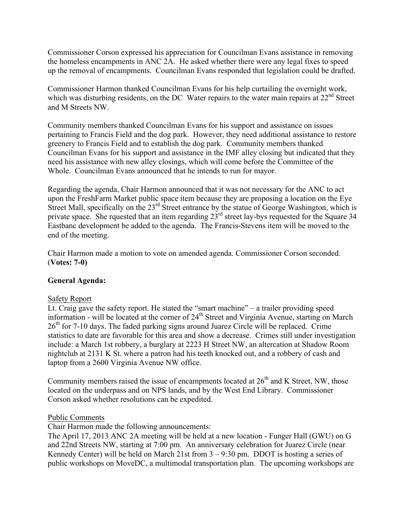Commissioner Corson expressed his appreciation for Councilman Evans assistance in removing the homeless encampments in ANC 2A. He asked whether there were any legal fixes to speed up the removal of encampments. Councilman Evans responded that legislation could be drafted.

Commissioner Harmon thanked Councilman Evans for his help curtailing the overnight work, which was disturbing residents, on the DC Water repairs to the water main repairs at 22<sup>nd</sup> Street and M Streets NW.

Community members thanked Councilman Evans for his support and assistance on issues pertaining to Francis Field and the dog park. However, they need additional assistance to restore greenery to Francis Field and to establish the dog park. Community members thanked Councilman Evans for his support and assistance in the IMF alley closing but indicated that they need his assistance with new alley closings, which will come before the Committee of the Whole. Councilman Evans announced that he intends to run for mayor.

Regarding the agenda, Chair Harmon announced that it was not necessary for the ANC to act upon the FreshFarm Market public space item because they are proposing a location on the Eye Street Mall, specifically on the 23<sup>rd</sup> Street entrance by the statue of George Washington, which is private space. She rquested that an item regarding  $23<sup>rd</sup>$  street lay-bys requested for the Square 34 Eastbanc development be added to the agenda. The Francis-Stevens item will be moved to the end of the meeting.

Chair Harmon made a motion to vote on amended agenda. Commissioner Corson seconded. (**Votes: 7-0)**

# **General Agenda:**

### Safety Report

Lt. Craig gave the safety report. He stated the "smart machine" – a trailer providing speed information - will be located at the corner of  $24<sup>th</sup>$  Street and Virginia Avenue, starting on March  $26<sup>th</sup>$  for 7-10 days. The faded parking signs around Juarez Circle will be replaced. Crime statistics to date are favorable for this area and show a decrease. Crimes still under investigation include: a March 1st robbery, a burglary at 2223 H Street NW, an altercation at Shadow Room nightclub at 2131 K St. where a patron had his teeth knocked out, and a robbery of cash and laptop from a 2600 Virginia Avenue NW office.

Community members raised the issue of encampments located at  $26<sup>th</sup>$  and K Street, NW, those located on the underpass and on NPS lands, and by the West End Library. Commissioner Corson asked whether resolutions can be expedited.

### Public Comments

Chair Harmon made the following announcements:

The April 17, 2013 ANC 2A meeting will be held at a new location - Funger Hall (GWU) on G and 22nd Streets NW, starting at 7:00 pm. An anniversary celebration for Juarez Circle (near Kennedy Center) will be held on March 21st from  $3 - 9:30$  pm. DDOT is hosting a series of public workshops on MoveDC, a multimodal transportation plan. The upcoming workshops are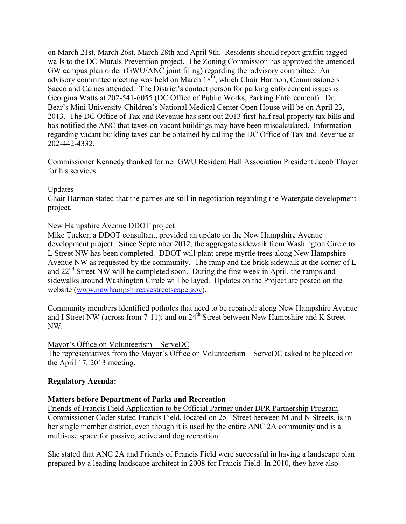on March 21st, March 26st, March 28th and April 9th. Residents should report graffiti tagged walls to the DC Murals Prevention project. The Zoning Commission has approved the amended GW campus plan order (GWU/ANC joint filing) regarding the advisory committee. An advisory committee meeting was held on March 18<sup>th</sup>, which Chair Harmon, Commissioners Sacco and Carnes attended. The District's contact person for parking enforcement issues is Georgina Watts at 202-541-6055 (DC Office of Public Works, Parking Enforcement). Dr. Bear's Mini University-Children's National Medical Center Open House will be on April 23, 2013. The DC Office of Tax and Revenue has sent out 2013 first-half real property tax bills and has notified the ANC that taxes on vacant buildings may have been miscalculated. Information regarding vacant building taxes can be obtained by calling the DC Office of Tax and Revenue at 202-442-4332.

Commissioner Kennedy thanked former GWU Resident Hall Association President Jacob Thayer for his services.

### Updates

Chair Harmon stated that the parties are still in negotiation regarding the Watergate development project.

# New Hampshire Avenue DDOT project

Mike Tucker, a DDOT consultant, provided an update on the New Hampshire Avenue development project. Since September 2012, the aggregate sidewalk from Washington Circle to L Street NW has been completed. DDOT will plant crepe myrtle trees along New Hampshire Avenue NW as requested by the community. The ramp and the brick sidewalk at the corner of L and 22<sup>nd</sup> Street NW will be completed soon. During the first week in April, the ramps and sidewalks around Washington Circle will be layed. Updates on the Project are posted on the website (www.newhampshireavestreetscape.gov).

Community members identified potholes that need to be repaired: along New Hampshire Avenue and I Street NW (across from 7-11); and on 24<sup>th</sup> Street between New Hampshire and K Street NW.

### Mayor's Office on Volunteerism – ServeDC

The representatives from the Mayor's Office on Volunteerism – ServeDC asked to be placed on the April 17, 2013 meeting.

### **Regulatory Agenda:**

### **Matters before Department of Parks and Recreation**

Friends of Francis Field Application to be Official Partner under DPR Partnership Program Commissioner Coder stated Francis Field, located on  $25<sup>th</sup>$  Street between M and N Streets, is in her single member district, even though it is used by the entire ANC 2A community and is a multi-use space for passive, active and dog recreation.

She stated that ANC 2A and Friends of Francis Field were successful in having a landscape plan prepared by a leading landscape architect in 2008 for Francis Field. In 2010, they have also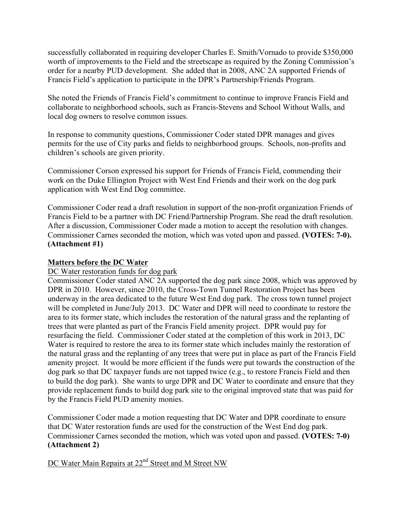successfully collaborated in requiring developer Charles E. Smith/Vornado to provide \$350,000 worth of improvements to the Field and the streetscape as required by the Zoning Commission's order for a nearby PUD development. She added that in 2008, ANC 2A supported Friends of Francis Field's application to participate in the DPR's Partnership/Friends Program.

She noted the Friends of Francis Field's commitment to continue to improve Francis Field and collaborate to neighborhood schools, such as Francis-Stevens and School Without Walls, and local dog owners to resolve common issues.

In response to community questions, Commissioner Coder stated DPR manages and gives permits for the use of City parks and fields to neighborhood groups. Schools, non-profits and children's schools are given priority.

Commissioner Corson expressed his support for Friends of Francis Field, commending their work on the Duke Ellington Project with West End Friends and their work on the dog park application with West End Dog committee.

Commissioner Coder read a draft resolution in support of the non-profit organization Friends of Francis Field to be a partner with DC Friend/Partnership Program. She read the draft resolution. After a discussion, Commissioner Coder made a motion to accept the resolution with changes. Commissioner Carnes seconded the motion, which was voted upon and passed. **(VOTES: 7-0). (Attachment #1)**

### **Matters before the DC Water**

### DC Water restoration funds for dog park

Commissioner Coder stated ANC 2A supported the dog park since 2008, which was approved by DPR in 2010. However, since 2010, the Cross-Town Tunnel Restoration Project has been underway in the area dedicated to the future West End dog park. The cross town tunnel project will be completed in June/July 2013. DC Water and DPR will need to coordinate to restore the area to its former state, which includes the restoration of the natural grass and the replanting of trees that were planted as part of the Francis Field amenity project. DPR would pay for resurfacing the field. Commissioner Coder stated at the completion of this work in 2013, DC Water is required to restore the area to its former state which includes mainly the restoration of the natural grass and the replanting of any trees that were put in place as part of the Francis Field amenity project. It would be more efficient if the funds were put towards the construction of the dog park so that DC taxpayer funds are not tapped twice (e.g., to restore Francis Field and then to build the dog park). She wants to urge DPR and DC Water to coordinate and ensure that they provide replacement funds to build dog park site to the original improved state that was paid for by the Francis Field PUD amenity monies.

Commissioner Coder made a motion requesting that DC Water and DPR coordinate to ensure that DC Water restoration funds are used for the construction of the West End dog park. Commissioner Carnes seconded the motion, which was voted upon and passed. **(VOTES: 7-0) (Attachment 2)**

DC Water Main Repairs at 22<sup>nd</sup> Street and M Street NW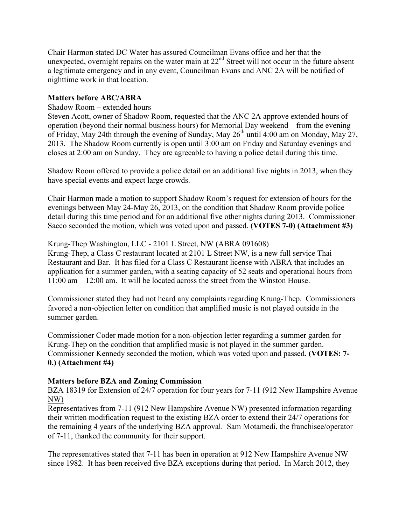Chair Harmon stated DC Water has assured Councilman Evans office and her that the unexpected, overnight repairs on the water main at  $22<sup>nd</sup>$  Street will not occur in the future absent a legitimate emergency and in any event, Councilman Evans and ANC 2A will be notified of nighttime work in that location.

# **Matters before ABC/ABRA**

# Shadow Room – extended hours

Steven Acott, owner of Shadow Room, requested that the ANC 2A approve extended hours of operation (beyond their normal business hours) for Memorial Day weekend – from the evening of Friday, May 24th through the evening of Sunday, May  $26<sup>th</sup>$  until 4:00 am on Monday, May 27, 2013. The Shadow Room currently is open until 3:00 am on Friday and Saturday evenings and closes at 2:00 am on Sunday. They are agreeable to having a police detail during this time.

Shadow Room offered to provide a police detail on an additional five nights in 2013, when they have special events and expect large crowds.

Chair Harmon made a motion to support Shadow Room's request for extension of hours for the evenings between May 24-May 26, 2013, on the condition that Shadow Room provide police detail during this time period and for an additional five other nights during 2013. Commissioner Sacco seconded the motion, which was voted upon and passed. **(VOTES 7-0) (Attachment #3)**

# Krung-Thep Washington, LLC - 2101 L Street, NW (ABRA 091608)

Krung-Thep, a Class C restaurant located at 2101 L Street NW, is a new full service Thai Restaurant and Bar. It has filed for a Class C Restaurant license with ABRA that includes an application for a summer garden, with a seating capacity of 52 seats and operational hours from 11:00 am – 12:00 am. It will be located across the street from the Winston House.

Commissioner stated they had not heard any complaints regarding Krung-Thep. Commissioners favored a non-objection letter on condition that amplified music is not played outside in the summer garden.

Commissioner Coder made motion for a non-objection letter regarding a summer garden for Krung-Thep on the condition that amplified music is not played in the summer garden. Commissioner Kennedy seconded the motion, which was voted upon and passed. **(VOTES: 7- 0.) (Attachment #4)**

# **Matters before BZA and Zoning Commission**

BZA 18319 for Extension of 24/7 operation for four years for 7-11 (912 New Hampshire Avenue NW)

Representatives from 7-11 (912 New Hampshire Avenue NW) presented information regarding their written modification request to the existing BZA order to extend their 24/7 operations for the remaining 4 years of the underlying BZA approval. Sam Motamedi, the franchisee/operator of 7-11, thanked the community for their support.

The representatives stated that 7-11 has been in operation at 912 New Hampshire Avenue NW since 1982. It has been received five BZA exceptions during that period. In March 2012, they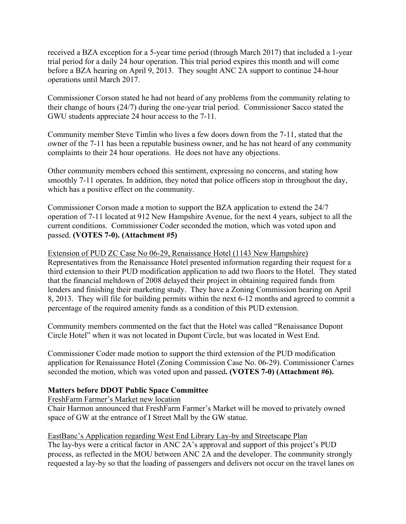received a BZA exception for a 5-year time period (through March 2017) that included a 1-year trial period for a daily 24 hour operation. This trial period expires this month and will come before a BZA hearing on April 9, 2013. They sought ANC 2A support to continue 24-hour operations until March 2017.

Commissioner Corson stated he had not heard of any problems from the community relating to their change of hours (24/7) during the one-year trial period. Commissioner Sacco stated the GWU students appreciate 24 hour access to the 7-11.

Community member Steve Timlin who lives a few doors down from the 7-11, stated that the owner of the 7-11 has been a reputable business owner, and he has not heard of any community complaints to their 24 hour operations. He does not have any objections.

Other community members echoed this sentiment, expressing no concerns, and stating how smoothly 7-11 operates. In addition, they noted that police officers stop in throughout the day, which has a positive effect on the community.

Commissioner Corson made a motion to support the BZA application to extend the 24/7 operation of 7-11 located at 912 New Hampshire Avenue, for the next 4 years, subject to all the current conditions. Commissioner Coder seconded the motion, which was voted upon and passed. **(VOTES 7-0). (Attachment #5)**

Extension of PUD ZC Case No 06-29, Renaissance Hotel (1143 New Hampshire) Representatives from the Renaissance Hotel presented information regarding their request for a third extension to their PUD modification application to add two floors to the Hotel. They stated that the financial meltdown of 2008 delayed their project in obtaining required funds from lenders and finishing their marketing study. They have a Zoning Commission hearing on April 8, 2013. They will file for building permits within the next 6-12 months and agreed to commit a percentage of the required amenity funds as a condition of this PUD extension.

Community members commented on the fact that the Hotel was called "Renaissance Dupont Circle Hotel" when it was not located in Dupont Circle, but was located in West End.

Commissioner Coder made motion to support the third extension of the PUD modification application for Renaissance Hotel (Zoning Commission Case No. 06-29). Commissioner Carnes seconded the motion, which was voted upon and passed**. (VOTES 7-0) (Attachment #6).**

# **Matters before DDOT Public Space Committee**

FreshFarm Farmer's Market new location

Chair Harmon announced that FreshFarm Farmer's Market will be moved to privately owned space of GW at the entrance of I Street Mall by the GW statue.

EastBanc's Application regarding West End Library Lay-by and Streetscape Plan

The lay-bys were a critical factor in ANC 2A's approval and support of this project's PUD process, as reflected in the MOU between ANC 2A and the developer. The community strongly requested a lay-by so that the loading of passengers and delivers not occur on the travel lanes on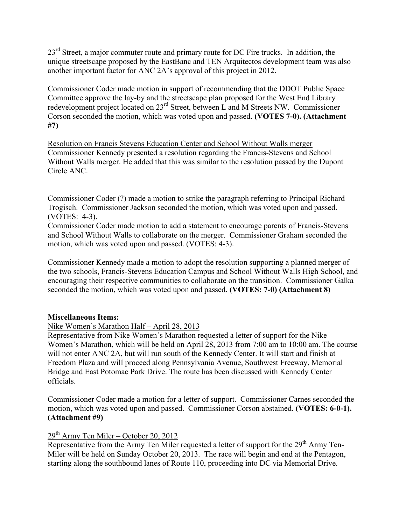23<sup>rd</sup> Street, a major commuter route and primary route for DC Fire trucks. In addition, the unique streetscape proposed by the EastBanc and TEN Arquitectos development team was also another important factor for ANC 2A's approval of this project in 2012.

Commissioner Coder made motion in support of recommending that the DDOT Public Space Committee approve the lay-by and the streetscape plan proposed for the West End Library redevelopment project located on 23rd Street, between L and M Streets NW. Commissioner Corson seconded the motion, which was voted upon and passed. **(VOTES 7-0). (Attachment #7)**

Resolution on Francis Stevens Education Center and School Without Walls merger Commissioner Kennedy presented a resolution regarding the Francis-Stevens and School Without Walls merger. He added that this was similar to the resolution passed by the Dupont Circle ANC.

Commissioner Coder (?) made a motion to strike the paragraph referring to Principal Richard Trogisch. Commissioner Jackson seconded the motion, which was voted upon and passed. (VOTES: 4-3).

Commissioner Coder made motion to add a statement to encourage parents of Francis-Stevens and School Without Walls to collaborate on the merger. Commissioner Graham seconded the motion, which was voted upon and passed. (VOTES: 4-3).

Commissioner Kennedy made a motion to adopt the resolution supporting a planned merger of the two schools, Francis-Stevens Education Campus and School Without Walls High School, and encouraging their respective communities to collaborate on the transition. Commissioner Galka seconded the motion, which was voted upon and passed. **(VOTES: 7-0) (Attachment 8)**

### **Miscellaneous Items:**

# Nike Women's Marathon Half – April 28, 2013

Representative from Nike Women's Marathon requested a letter of support for the Nike Women's Marathon, which will be held on April 28, 2013 from 7:00 am to 10:00 am. The course will not enter ANC 2A, but will run south of the Kennedy Center. It will start and finish at Freedom Plaza and will proceed along Pennsylvania Avenue, Southwest Freeway, Memorial Bridge and East Potomac Park Drive. The route has been discussed with Kennedy Center officials.

Commissioner Coder made a motion for a letter of support. Commissioner Carnes seconded the motion, which was voted upon and passed. Commissioner Corson abstained. **(VOTES: 6-0-1). (Attachment #9)**

# 29th Army Ten Miler – October 20, 2012

Representative from the Army Ten Miler requested a letter of support for the  $29<sup>th</sup>$  Army Ten-Miler will be held on Sunday October 20, 2013. The race will begin and end at the Pentagon, starting along the southbound lanes of Route 110, proceeding into DC via Memorial Drive.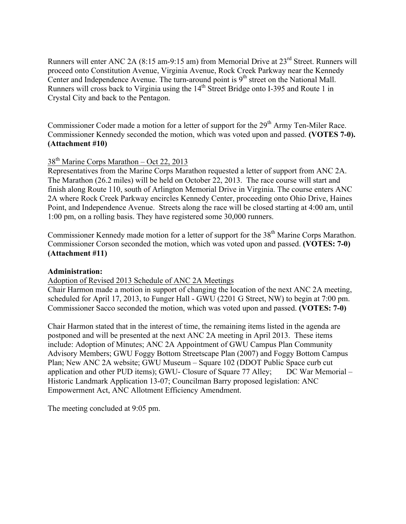Runners will enter ANC 2A (8:15 am-9:15 am) from Memorial Drive at 23<sup>rd</sup> Street. Runners will proceed onto Constitution Avenue, Virginia Avenue, Rock Creek Parkway near the Kennedy Center and Independence Avenue. The turn-around point is  $9<sup>th</sup>$  street on the National Mall. Runners will cross back to Virginia using the  $14<sup>th</sup>$  Street Bridge onto I-395 and Route 1 in Crystal City and back to the Pentagon.

Commissioner Coder made a motion for a letter of support for the  $29<sup>th</sup>$  Army Ten-Miler Race. Commissioner Kennedy seconded the motion, which was voted upon and passed. **(VOTES 7-0). (Attachment #10)**

# $38<sup>th</sup>$  Marine Corps Marathon – Oct 22, 2013

Representatives from the Marine Corps Marathon requested a letter of support from ANC 2A. The Marathon (26.2 miles) will be held on October 22, 2013. The race course will start and finish along Route 110, south of Arlington Memorial Drive in Virginia. The course enters ANC 2A where Rock Creek Parkway encircles Kennedy Center, proceeding onto Ohio Drive, Haines Point, and Independence Avenue. Streets along the race will be closed starting at 4:00 am, until 1:00 pm, on a rolling basis. They have registered some 30,000 runners.

Commissioner Kennedy made motion for a letter of support for the 38<sup>th</sup> Marine Corps Marathon. Commissioner Corson seconded the motion, which was voted upon and passed. **(VOTES: 7-0) (Attachment #11)**

# **Administration:**

Adoption of Revised 2013 Schedule of ANC 2A Meetings

Chair Harmon made a motion in support of changing the location of the next ANC 2A meeting, scheduled for April 17, 2013, to Funger Hall - GWU (2201 G Street, NW) to begin at 7:00 pm. Commissioner Sacco seconded the motion, which was voted upon and passed. **(VOTES: 7-0)** 

Chair Harmon stated that in the interest of time, the remaining items listed in the agenda are postponed and will be presented at the next ANC 2A meeting in April 2013. These items include: Adoption of Minutes; ANC 2A Appointment of GWU Campus Plan Community Advisory Members; GWU Foggy Bottom Streetscape Plan (2007) and Foggy Bottom Campus Plan; New ANC 2A website; GWU Museum – Square 102 (DDOT Public Space curb cut application and other PUD items); GWU- Closure of Square 77 Alley; DC War Memorial – Historic Landmark Application 13-07; Councilman Barry proposed legislation: ANC Empowerment Act, ANC Allotment Efficiency Amendment.

The meeting concluded at 9:05 pm.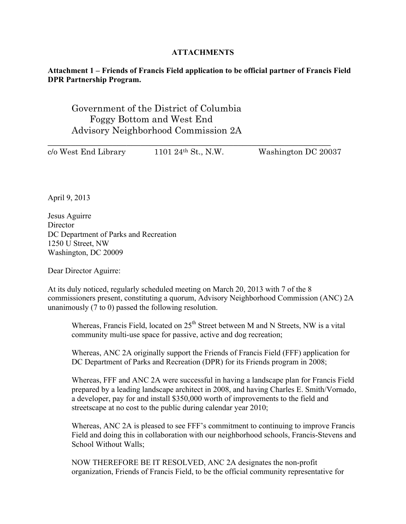### **ATTACHMENTS**

### **Attachment 1 – Friends of Francis Field application to be official partner of Francis Field DPR Partnership Program.**

Government of the District of Columbia Foggy Bottom and West End Advisory Neighborhood Commission 2A

| c/o West End Library | 1101 $24$ <sup>th</sup> St., N.W. | Washington DC 20037 |
|----------------------|-----------------------------------|---------------------|

April 9, 2013

Jesus Aguirre **Director** DC Department of Parks and Recreation 1250 U Street, NW Washington, DC 20009

Dear Director Aguirre:

At its duly noticed, regularly scheduled meeting on March 20, 2013 with 7 of the 8 commissioners present, constituting a quorum, Advisory Neighborhood Commission (ANC) 2A unanimously (7 to 0) passed the following resolution.

Whereas, Francis Field, located on 25<sup>th</sup> Street between M and N Streets, NW is a vital community multi-use space for passive, active and dog recreation;

Whereas, ANC 2A originally support the Friends of Francis Field (FFF) application for DC Department of Parks and Recreation (DPR) for its Friends program in 2008;

Whereas, FFF and ANC 2A were successful in having a landscape plan for Francis Field prepared by a leading landscape architect in 2008, and having Charles E. Smith/Vornado, a developer, pay for and install \$350,000 worth of improvements to the field and streetscape at no cost to the public during calendar year 2010;

Whereas, ANC 2A is pleased to see FFF's commitment to continuing to improve Francis Field and doing this in collaboration with our neighborhood schools, Francis-Stevens and School Without Walls;

NOW THEREFORE BE IT RESOLVED, ANC 2A designates the non-profit organization, Friends of Francis Field, to be the official community representative for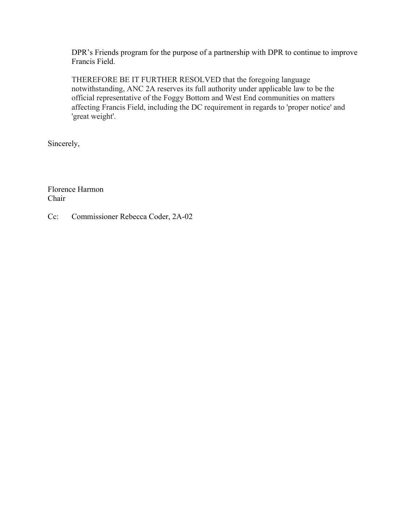DPR's Friends program for the purpose of a partnership with DPR to continue to improve Francis Field.

THEREFORE BE IT FURTHER RESOLVED that the foregoing language notwithstanding, ANC 2A reserves its full authority under applicable law to be the official representative of the Foggy Bottom and West End communities on matters affecting Francis Field, including the DC requirement in regards to 'proper notice' and 'great weight'.

Sincerely,

Florence Harmon Chair

Cc: Commissioner Rebecca Coder, 2A-02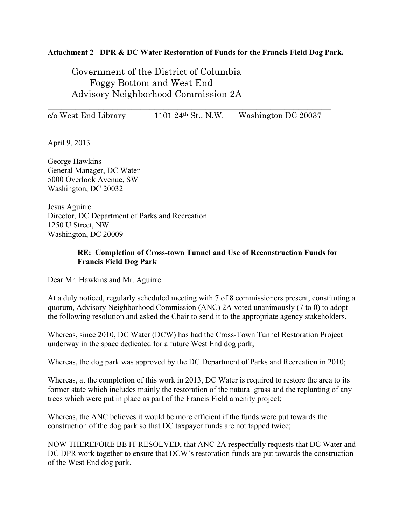### **Attachment 2 –DPR & DC Water Restoration of Funds for the Francis Field Dog Park.**

Government of the District of Columbia Foggy Bottom and West End Advisory Neighborhood Commission 2A

\_\_\_\_\_\_\_\_\_\_\_\_\_\_\_\_\_\_\_\_\_\_\_\_\_\_\_\_\_\_\_\_\_\_\_\_\_\_\_\_\_\_\_\_\_\_\_\_\_\_\_\_\_\_\_\_\_\_\_\_\_ c/o West End Library 1101 24th St., N.W. Washington DC 20037

April 9, 2013

George Hawkins General Manager, DC Water 5000 Overlook Avenue, SW Washington, DC 20032

Jesus Aguirre Director, DC Department of Parks and Recreation 1250 U Street, NW Washington, DC 20009

### **RE: Completion of Cross-town Tunnel and Use of Reconstruction Funds for Francis Field Dog Park**

Dear Mr. Hawkins and Mr. Aguirre:

At a duly noticed, regularly scheduled meeting with 7 of 8 commissioners present, constituting a quorum, Advisory Neighborhood Commission (ANC) 2A voted unanimously (7 to 0) to adopt the following resolution and asked the Chair to send it to the appropriate agency stakeholders.

Whereas, since 2010, DC Water (DCW) has had the Cross-Town Tunnel Restoration Project underway in the space dedicated for a future West End dog park;

Whereas, the dog park was approved by the DC Department of Parks and Recreation in 2010;

Whereas, at the completion of this work in 2013, DC Water is required to restore the area to its former state which includes mainly the restoration of the natural grass and the replanting of any trees which were put in place as part of the Francis Field amenity project;

Whereas, the ANC believes it would be more efficient if the funds were put towards the construction of the dog park so that DC taxpayer funds are not tapped twice;

NOW THEREFORE BE IT RESOLVED, that ANC 2A respectfully requests that DC Water and DC DPR work together to ensure that DCW's restoration funds are put towards the construction of the West End dog park.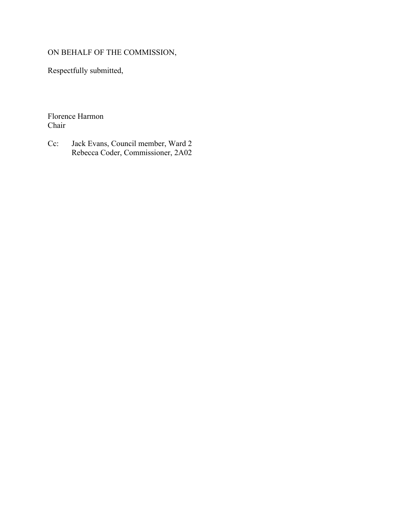# ON BEHALF OF THE COMMISSION,

Respectfully submitted,

Florence Harmon Chair

Cc: Jack Evans, Council member, Ward 2 Rebecca Coder, Commissioner, 2A02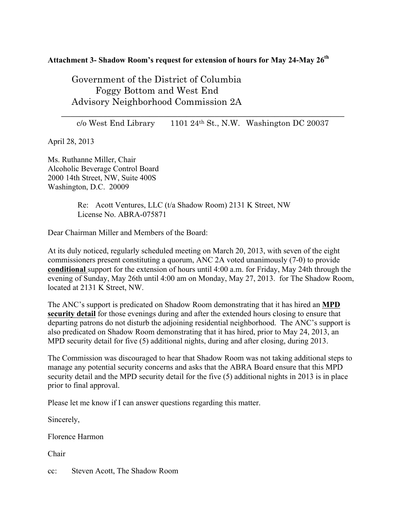### **Attachment 3- Shadow Room's request for extension of hours for May 24-May 26th**

Government of the District of Columbia Foggy Bottom and West End Advisory Neighborhood Commission 2A

# \_\_\_\_\_\_\_\_\_\_\_\_\_\_\_\_\_\_\_\_\_\_\_\_\_\_\_\_\_\_\_\_\_\_\_\_\_\_\_\_\_\_\_\_\_\_\_\_\_\_\_\_\_\_\_\_\_\_\_\_\_ c/o West End Library 1101 24th St., N.W. Washington DC 20037

April 28, 2013

Ms. Ruthanne Miller, Chair Alcoholic Beverage Control Board 2000 14th Street, NW, Suite 400S Washington, D.C. 20009

> Re: Acott Ventures, LLC (t/a Shadow Room) 2131 K Street, NW License No. ABRA-075871

Dear Chairman Miller and Members of the Board:

At its duly noticed, regularly scheduled meeting on March 20, 2013, with seven of the eight commissioners present constituting a quorum, ANC 2A voted unanimously (7-0) to provide **conditional** support for the extension of hours until 4:00 a.m. for Friday, May 24th through the evening of Sunday, May 26th until 4:00 am on Monday, May 27, 2013. for The Shadow Room, located at 2131 K Street, NW.

The ANC's support is predicated on Shadow Room demonstrating that it has hired an **MPD security detail** for those evenings during and after the extended hours closing to ensure that departing patrons do not disturb the adjoining residential neighborhood. The ANC's support is also predicated on Shadow Room demonstrating that it has hired, prior to May 24, 2013, an MPD security detail for five (5) additional nights, during and after closing, during 2013.

The Commission was discouraged to hear that Shadow Room was not taking additional steps to manage any potential security concerns and asks that the ABRA Board ensure that this MPD security detail and the MPD security detail for the five (5) additional nights in 2013 is in place prior to final approval.

Please let me know if I can answer questions regarding this matter.

Sincerely,

Florence Harmon

Chair

cc: Steven Acott, The Shadow Room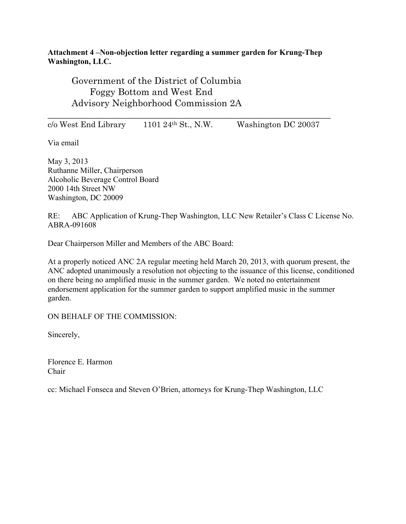# **Attachment 4 –Non-objection letter regarding a summer garden for Krung-Thep Washington, LLC.**

Government of the District of Columbia Foggy Bottom and West End Advisory Neighborhood Commission 2A

 $c/\sigma$  West End Library 1101 24<sup>th</sup> St., N.W. Washington DC 20037

\_\_\_\_\_\_\_\_\_\_\_\_\_\_\_\_\_\_\_\_\_\_\_\_\_\_\_\_\_\_\_\_\_\_\_\_\_\_\_\_\_\_\_\_\_\_\_\_\_\_\_\_\_\_\_\_\_\_\_\_\_

Via email

May 3, 2013 Ruthanne Miller, Chairperson Alcoholic Beverage Control Board 2000 14th Street NW Washington, DC 20009

RE: ABC Application of Krung-Thep Washington, LLC New Retailer's Class C License No. ABRA-091608

Dear Chairperson Miller and Members of the ABC Board:

At a properly noticed ANC 2A regular meeting held March 20, 2013, with quorum present, the ANC adopted unanimously a resolution not objecting to the issuance of this license, conditioned on there being no amplified music in the summer garden. We noted no entertainment endorsement application for the summer garden to support amplified music in the summer garden.

ON BEHALF OF THE COMMISSION:

Sincerely,

Florence E. Harmon Chair

cc: Michael Fonseca and Steven O'Brien, attorneys for Krung-Thep Washington, LLC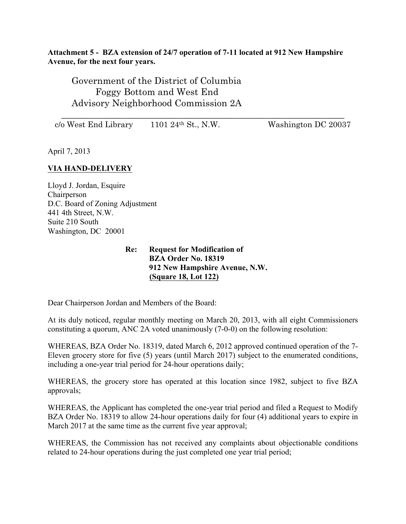### **Attachment 5 - BZA extension of 24/7 operation of 7-11 located at 912 New Hampshire Avenue, for the next four years.**

\_\_\_\_\_\_\_\_\_\_\_\_\_\_\_\_\_\_\_\_\_\_\_\_\_\_\_\_\_\_\_\_\_\_\_\_\_\_\_\_\_\_\_\_\_\_\_\_\_\_\_\_\_\_\_\_\_\_\_\_\_

Government of the District of Columbia Foggy Bottom and West End Advisory Neighborhood Commission 2A

c/o West End Library 1101 24th St., N.W. Washington DC 20037

April 7, 2013

### **VIA HAND-DELIVERY**

Lloyd J. Jordan, Esquire Chairperson D.C. Board of Zoning Adjustment 441 4th Street, N.W. Suite 210 South Washington, DC 20001

> **Re: Request for Modification of BZA Order No. 18319 912 New Hampshire Avenue, N.W. (Square 18, Lot 122)**

Dear Chairperson Jordan and Members of the Board:

At its duly noticed, regular monthly meeting on March 20, 2013, with all eight Commissioners constituting a quorum, ANC 2A voted unanimously (7-0-0) on the following resolution:

WHEREAS, BZA Order No. 18319, dated March 6, 2012 approved continued operation of the 7- Eleven grocery store for five (5) years (until March 2017) subject to the enumerated conditions, including a one-year trial period for 24-hour operations daily;

WHEREAS, the grocery store has operated at this location since 1982, subject to five BZA approvals;

WHEREAS, the Applicant has completed the one-year trial period and filed a Request to Modify BZA Order No. 18319 to allow 24-hour operations daily for four (4) additional years to expire in March 2017 at the same time as the current five year approval;

WHEREAS, the Commission has not received any complaints about objectionable conditions related to 24-hour operations during the just completed one year trial period;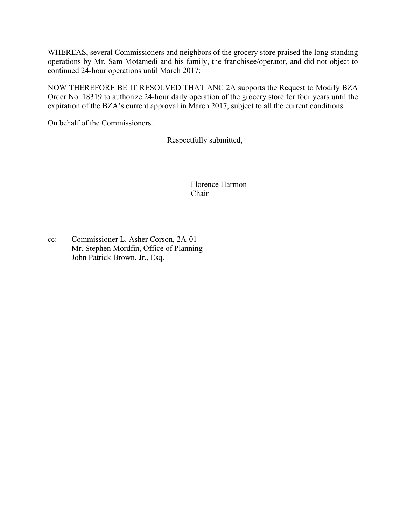WHEREAS, several Commissioners and neighbors of the grocery store praised the long-standing operations by Mr. Sam Motamedi and his family, the franchisee/operator, and did not object to continued 24-hour operations until March 2017;

NOW THEREFORE BE IT RESOLVED THAT ANC 2A supports the Request to Modify BZA Order No. 18319 to authorize 24-hour daily operation of the grocery store for four years until the expiration of the BZA's current approval in March 2017, subject to all the current conditions.

On behalf of the Commissioners.

Respectfully submitted,

Florence Harmon Chair

cc: Commissioner L. Asher Corson, 2A-01 Mr. Stephen Mordfin, Office of Planning John Patrick Brown, Jr., Esq.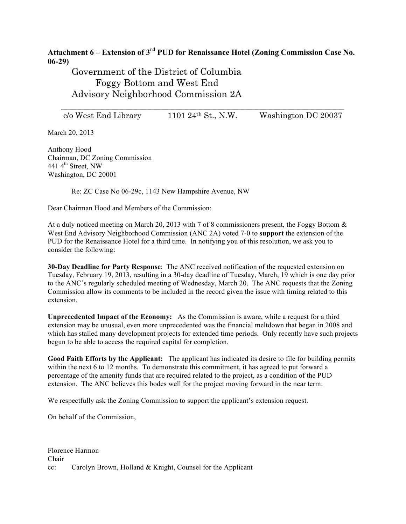**Attachment 6 – Extension of 3rd PUD for Renaissance Hotel (Zoning Commission Case No. 06-29)**

# Government of the District of Columbia Foggy Bottom and West End Advisory Neighborhood Commission 2A

 $c/\text{o West End Library}$  1101 24<sup>th</sup> St., N.W. Washington DC 20037

\_\_\_\_\_\_\_\_\_\_\_\_\_\_\_\_\_\_\_\_\_\_\_\_\_\_\_\_\_\_\_\_\_\_\_\_\_\_\_\_\_\_\_\_\_\_\_\_\_\_\_\_\_\_\_\_\_\_\_\_\_

March 20, 2013

Anthony Hood Chairman, DC Zoning Commission 441 4<sup>th</sup> Street, NW Washington, DC 20001

Re: ZC Case No 06-29c, 1143 New Hampshire Avenue, NW

Dear Chairman Hood and Members of the Commission:

At a duly noticed meeting on March 20, 2013 with 7 of 8 commissioners present, the Foggy Bottom & West End Advisory Neighborhood Commission (ANC 2A) voted 7-0 to **support** the extension of the PUD for the Renaissance Hotel for a third time. In notifying you of this resolution, we ask you to consider the following:

**30-Day Deadline for Party Response**: The ANC received notification of the requested extension on Tuesday, February 19, 2013, resulting in a 30-day deadline of Tuesday, March, 19 which is one day prior to the ANC's regularly scheduled meeting of Wednesday, March 20. The ANC requests that the Zoning Commission allow its comments to be included in the record given the issue with timing related to this extension.

**Unprecedented Impact of the Economy:** As the Commission is aware, while a request for a third extension may be unusual, even more unprecedented was the financial meltdown that began in 2008 and which has stalled many development projects for extended time periods. Only recently have such projects begun to be able to access the required capital for completion.

**Good Faith Efforts by the Applicant:** The applicant has indicated its desire to file for building permits within the next 6 to 12 months. To demonstrate this commitment, it has agreed to put forward a percentage of the amenity funds that are required related to the project, as a condition of the PUD extension. The ANC believes this bodes well for the project moving forward in the near term.

We respectfully ask the Zoning Commission to support the applicant's extension request.

On behalf of the Commission,

Florence Harmon Chair cc: Carolyn Brown, Holland & Knight, Counsel for the Applicant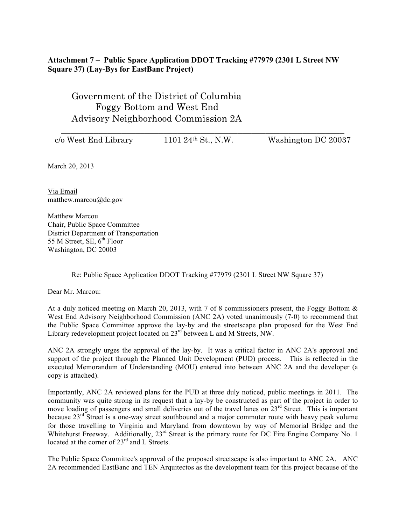# **Attachment 7 – Public Space Application DDOT Tracking #77979 (2301 L Street NW Square 37) (Lay-Bys for EastBanc Project)**

Government of the District of Columbia Foggy Bottom and West End Advisory Neighborhood Commission 2A

| c/o West End Library | 1101 $24^{th}$ St., N.W. | Washington DC 20037 |
|----------------------|--------------------------|---------------------|

March 20, 2013

Via Email matthew.marcou@dc.gov

Matthew Marcou Chair, Public Space Committee District Department of Transportation 55 M Street, SE,  $6<sup>th</sup>$  Floor Washington, DC 20003

Re: Public Space Application DDOT Tracking #77979 (2301 L Street NW Square 37)

Dear Mr. Marcou:

At a duly noticed meeting on March 20, 2013, with 7 of 8 commissioners present, the Foggy Bottom & West End Advisory Neighborhood Commission (ANC 2A) voted unanimously (7-0) to recommend that the Public Space Committee approve the lay-by and the streetscape plan proposed for the West End Library redevelopment project located on 23<sup>rd</sup> between L and M Streets, NW.

ANC 2A strongly urges the approval of the lay-by. It was a critical factor in ANC 2A's approval and support of the project through the Planned Unit Development (PUD) process. This is reflected in the executed Memorandum of Understanding (MOU) entered into between ANC 2A and the developer (a copy is attached).

Importantly, ANC 2A reviewed plans for the PUD at three duly noticed, public meetings in 2011. The community was quite strong in its request that a lay-by be constructed as part of the project in order to move loading of passengers and small deliveries out of the travel lanes on 23<sup>rd</sup> Street. This is important because  $23<sup>rd</sup>$  Street is a one-way street southbound and a major commuter route with heavy peak volume for those travelling to Virginia and Maryland from downtown by way of Memorial Bridge and the Whitehurst Freeway. Additionally,  $23^{rd}$  Street is the primary route for DC Fire Engine Company No. 1 located at the corner of 23<sup>rd</sup> and L Streets.

The Public Space Committee's approval of the proposed streetscape is also important to ANC 2A. ANC 2A recommended EastBanc and TEN Arquitectos as the development team for this project because of the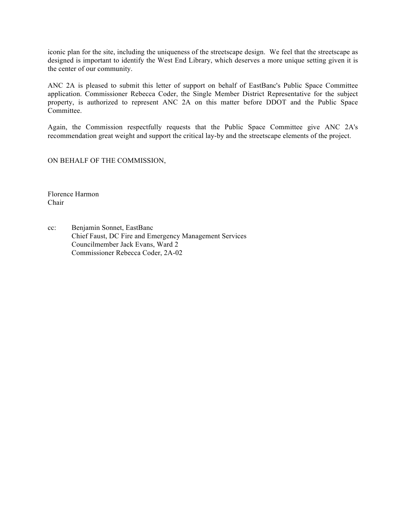iconic plan for the site, including the uniqueness of the streetscape design. We feel that the streetscape as designed is important to identify the West End Library, which deserves a more unique setting given it is the center of our community.

ANC 2A is pleased to submit this letter of support on behalf of EastBanc's Public Space Committee application. Commissioner Rebecca Coder, the Single Member District Representative for the subject property, is authorized to represent ANC 2A on this matter before DDOT and the Public Space Committee.

Again, the Commission respectfully requests that the Public Space Committee give ANC 2A's recommendation great weight and support the critical lay-by and the streetscape elements of the project.

ON BEHALF OF THE COMMISSION,

Florence Harmon Chair

cc: Benjamin Sonnet, EastBanc Chief Faust, DC Fire and Emergency Management Services Councilmember Jack Evans, Ward 2 Commissioner Rebecca Coder, 2A-02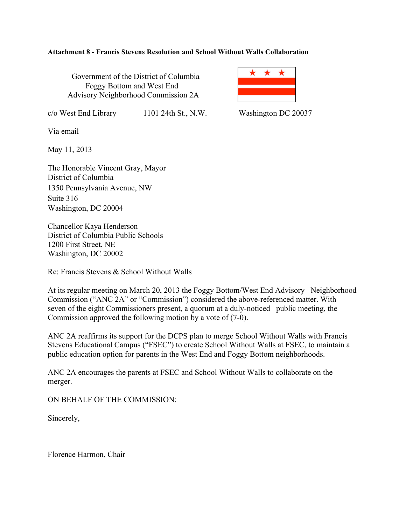#### **Attachment 8 - Francis Stevens Resolution and School Without Walls Collaboration**

Government of the District of Columbia Foggy Bottom and West End Advisory Neighborhood Commission 2A



c/o West End Library 1101 24th St., N.W. Washington DC 20037

Via email

May 11, 2013

The Honorable Vincent Gray, Mayor District of Columbia 1350 Pennsylvania Avenue, NW Suite 316 Washington, DC 20004

Chancellor Kaya Henderson District of Columbia Public Schools 1200 First Street, NE Washington, DC 20002

Re: Francis Stevens & School Without Walls

At its regular meeting on March 20, 2013 the Foggy Bottom/West End Advisory Neighborhood Commission ("ANC 2A" or "Commission") considered the above-referenced matter. With seven of the eight Commissioners present, a quorum at a duly-noticed public meeting, the Commission approved the following motion by a vote of (7-0).

ANC 2A reaffirms its support for the DCPS plan to merge School Without Walls with Francis Stevens Educational Campus ("FSEC") to create School Without Walls at FSEC, to maintain a public education option for parents in the West End and Foggy Bottom neighborhoods.

ANC 2A encourages the parents at FSEC and School Without Walls to collaborate on the merger.

ON BEHALF OF THE COMMISSION:

Sincerely,

Florence Harmon, Chair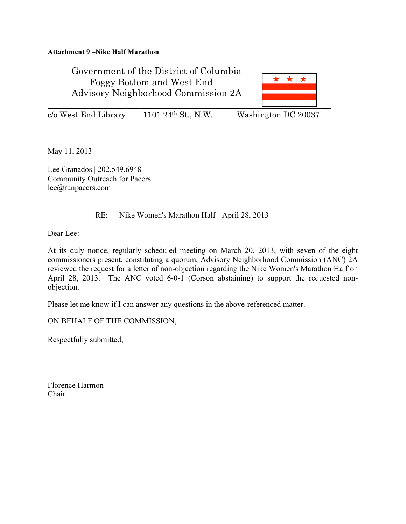### **Attachment 9 –Nike Half Marathon**

Government of the District of Columbia Foggy Bottom and West End Advisory Neighborhood Commission 2A



 $c$ /o West End Library 1101 24<sup>th</sup> St., N.W. Washington DC 20037

May 11, 2013

Lee Granados | 202.549.6948 Community Outreach for Pacers lee@runpacers.com

# RE: Nike Women's Marathon Half - April 28, 2013

Dear Lee:

At its duly notice, regularly scheduled meeting on March 20, 2013, with seven of the eight commissioners present, constituting a quorum, Advisory Neighborhood Commission (ANC) 2A reviewed the request for a letter of non-objection regarding the Nike Women's Marathon Half on April 28, 2013. The ANC voted 6-0-1 (Corson abstaining) to support the requested nonobjection.

Please let me know if I can answer any questions in the above-referenced matter.

ON BEHALF OF THE COMMISSION,

Respectfully submitted,

Florence Harmon Chair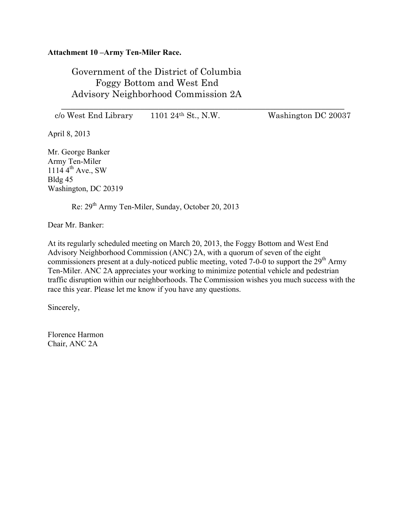### **Attachment 10 –Army Ten-Miler Race.**

Government of the District of Columbia Foggy Bottom and West End Advisory Neighborhood Commission 2A

c/o West End Library 1101 24th St., N.W. Washington DC 20037

April 8, 2013

Mr. George Banker Army Ten-Miler  $11144^{th}$  Ave., SW Bldg 45 Washington, DC 20319

Re: 29th Army Ten-Miler, Sunday, October 20, 2013

Dear Mr. Banker:

At its regularly scheduled meeting on March 20, 2013, the Foggy Bottom and West End Advisory Neighborhood Commission (ANC) 2A, with a quorum of seven of the eight commissioners present at a duly-noticed public meeting, voted 7-0-0 to support the  $29<sup>th</sup>$  Army Ten-Miler. ANC 2A appreciates your working to minimize potential vehicle and pedestrian traffic disruption within our neighborhoods. The Commission wishes you much success with the race this year. Please let me know if you have any questions.

\_\_\_\_\_\_\_\_\_\_\_\_\_\_\_\_\_\_\_\_\_\_\_\_\_\_\_\_\_\_\_\_\_\_\_\_\_\_\_\_\_\_\_\_\_\_\_\_\_\_\_\_\_\_\_\_\_\_\_\_\_

Sincerely,

Florence Harmon Chair, ANC 2A